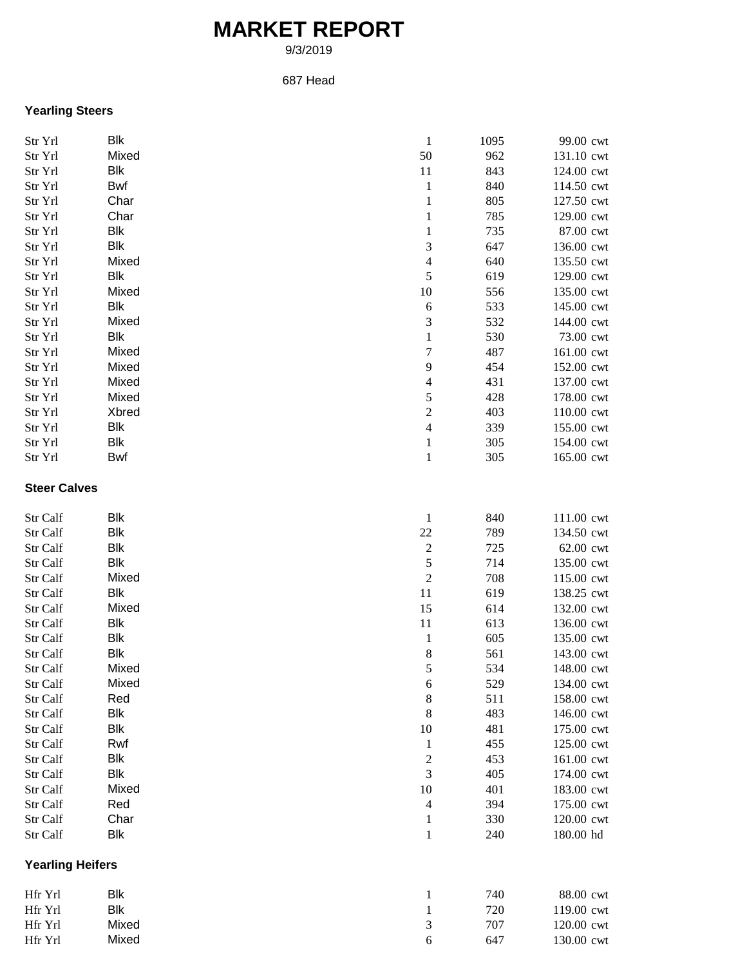## **MARKET REPORT**

9/3/2019

## 687 Head

## **Yearling Steers**

| Str Yrl                 | <b>Blk</b> | $\mathbf{1}$             | 1095 | 99.00 cwt  |
|-------------------------|------------|--------------------------|------|------------|
| Str Yrl                 | Mixed      | 50                       | 962  | 131.10 cwt |
| Str Yrl                 | <b>Blk</b> | 11                       | 843  | 124.00 cwt |
| Str Yrl                 | Bwf        | $\mathbf{1}$             | 840  | 114.50 cwt |
| Str Yrl                 | Char       | $\mathbf{1}$             | 805  | 127.50 cwt |
| Str Yrl                 | Char       | $\mathbf{1}$             | 785  | 129.00 cwt |
| Str Yrl                 | Blk        | $\mathbf{1}$             | 735  | 87.00 cwt  |
| Str Yrl                 | <b>Blk</b> | 3                        | 647  | 136.00 cwt |
| Str Yrl                 | Mixed      | $\overline{\mathcal{L}}$ | 640  | 135.50 cwt |
| Str Yrl                 | <b>Blk</b> | 5                        | 619  | 129.00 cwt |
| Str Yrl                 | Mixed      | 10                       | 556  | 135.00 cwt |
| Str Yrl                 | Blk        | $\sqrt{6}$               | 533  | 145.00 cwt |
|                         | Mixed      | 3                        | 532  | 144.00 cwt |
| Str Yrl                 | Blk        |                          |      |            |
| Str Yrl                 |            | $\,1$                    | 530  | 73.00 cwt  |
| Str Yrl                 | Mixed      | $\overline{7}$           | 487  | 161.00 cwt |
| Str Yrl                 | Mixed      | 9                        | 454  | 152.00 cwt |
| Str Yrl                 | Mixed      | $\overline{\mathcal{L}}$ | 431  | 137.00 cwt |
| Str Yrl                 | Mixed      | 5                        | 428  | 178.00 cwt |
| Str Yrl                 | Xbred      | $\overline{c}$           | 403  | 110.00 cwt |
| Str Yrl                 | Blk        | $\overline{\mathcal{L}}$ | 339  | 155.00 cwt |
| Str Yrl                 | Blk        | $\,1$                    | 305  | 154.00 cwt |
| Str Yrl                 | Bwf        | $\mathbf 1$              | 305  | 165.00 cwt |
| <b>Steer Calves</b>     |            |                          |      |            |
| Str Calf                | Blk        | $\mathbf{1}$             | 840  | 111.00 cwt |
| Str Calf                | Blk        | $22\,$                   | 789  | 134.50 cwt |
| Str Calf                | Blk        | $\sqrt{2}$               | 725  | 62.00 cwt  |
| Str Calf                | Blk        | 5                        | 714  | 135.00 cwt |
| Str Calf                | Mixed      | $\overline{c}$           | 708  | 115.00 cwt |
| Str Calf                | <b>Blk</b> | 11                       | 619  | 138.25 cwt |
|                         | Mixed      | 15                       | 614  |            |
| Str Calf                |            |                          |      | 132.00 cwt |
| Str Calf                | Blk        | 11                       | 613  | 136.00 cwt |
| Str Calf                | <b>Blk</b> | $\mathbf{1}$             | 605  | 135.00 cwt |
| Str Calf                | Blk        | 8                        | 561  | 143.00 cwt |
| Str Calf                | Mixed      | 5                        | 534  | 148.00 cwt |
| Str Calf                | Mixed      | 6                        | 529  | 134.00 cwt |
| Str Calf                | Red        | $\,8\,$                  | 511  | 158.00 cwt |
| Str Calf                | Blk        | 8                        | 483  | 146.00 cwt |
| Str Calf                | Blk        | 10                       | 481  | 175.00 cwt |
| Str Calf                | Rwf        | $\mathbf{1}$             | 455  | 125.00 cwt |
| Str Calf                | Blk        | $\overline{\mathbf{c}}$  | 453  | 161.00 cwt |
| Str Calf                | Blk        | 3                        | 405  | 174.00 cwt |
| Str Calf                | Mixed      | 10                       | 401  | 183.00 cwt |
| Str Calf                | Red        | $\overline{4}$           | 394  | 175.00 cwt |
| Str Calf                | Char       | $\mathbf{1}$             | 330  | 120.00 cwt |
| Str Calf                | <b>Blk</b> | $\mathbf 1$              | 240  | 180.00 hd  |
| <b>Yearling Heifers</b> |            |                          |      |            |
| Hfr Yrl                 | <b>Blk</b> | $\mathbf{1}$             | 740  | 88.00 cwt  |
| Hfr Yrl                 | <b>Blk</b> | $\mathbf 1$              | 720  | 119.00 cwt |
| Hfr Yrl                 | Mixed      | 3                        | 707  | 120.00 cwt |
| Hfr Yrl                 | Mixed      | 6                        | 647  | 130.00 cwt |
|                         |            |                          |      |            |

Hfr Yrl Mixed  $\begin{array}{cccc} 6 & 647 & 130.00 \text{ cw} \end{array}$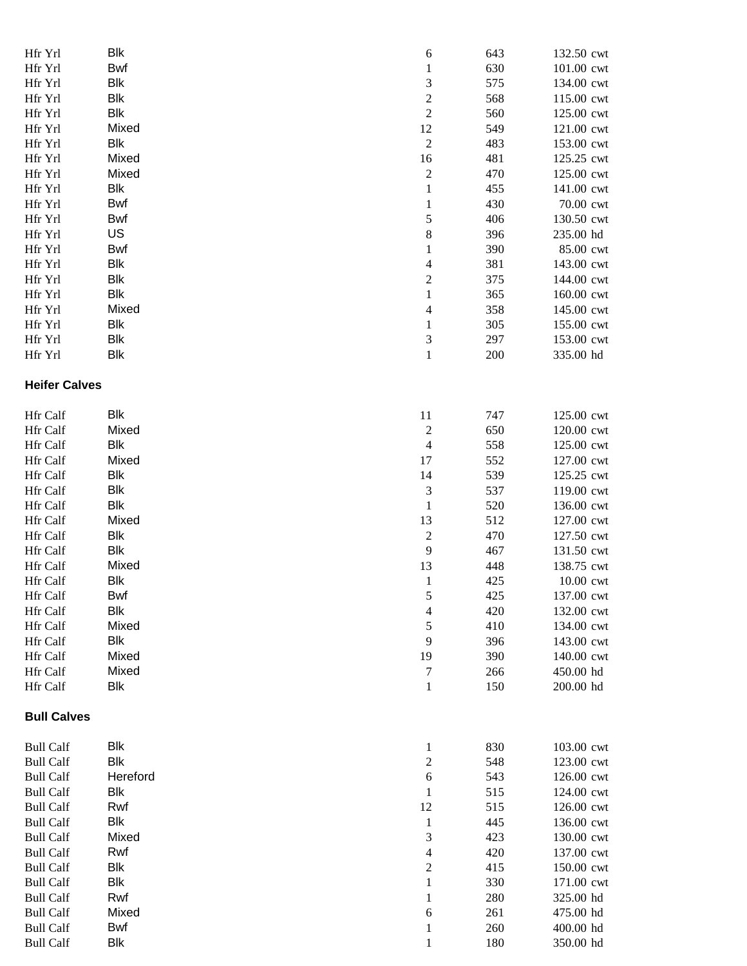| Hfr Yrl              | <b>Blk</b> | 6                       | 643 | 132.50 cwt |
|----------------------|------------|-------------------------|-----|------------|
| Hfr Yrl              | Bwf        | $\mathbf{1}$            | 630 | 101.00 cwt |
| Hfr Yrl              | Blk        | 3                       | 575 | 134.00 cwt |
| Hfr Yrl              | Blk        | $\sqrt{2}$              | 568 | 115.00 cwt |
| Hfr Yrl              | <b>Blk</b> | $\sqrt{2}$              | 560 | 125.00 cwt |
| Hfr Yrl              | Mixed      | 12                      | 549 | 121.00 cwt |
| Hfr Yrl              | <b>Blk</b> | $\sqrt{2}$              | 483 | 153.00 cwt |
| Hfr Yrl              | Mixed      | 16                      | 481 | 125.25 cwt |
| Hfr Yrl              | Mixed      | $\sqrt{2}$              | 470 | 125.00 cwt |
| Hfr Yrl              | Blk        | $\,1\,$                 | 455 | 141.00 cwt |
| Hfr Yrl              | Bwf        | $\mathbf{1}$            | 430 | 70.00 cwt  |
| Hfr Yrl              | Bwf        | 5                       | 406 | 130.50 cwt |
| Hfr Yrl              | US         | $\,$ 8 $\,$             | 396 | 235.00 hd  |
| Hfr Yrl              | Bwf        | $\mathbf{1}$            | 390 | 85.00 cwt  |
| Hfr Yrl              | <b>Blk</b> | $\overline{4}$          | 381 | 143.00 cwt |
| Hfr Yrl              | Blk        | $\boldsymbol{2}$        | 375 | 144.00 cwt |
| Hfr Yrl              | Blk        | $\,1$                   | 365 | 160.00 cwt |
| Hfr Yrl              | Mixed      | $\overline{4}$          | 358 | 145.00 cwt |
| Hfr Yrl              | Blk        | $\mathbf{1}$            | 305 | 155.00 cwt |
| Hfr Yrl              | <b>Blk</b> | 3                       | 297 | 153.00 cwt |
| Hfr Yrl              | <b>Blk</b> | $\mathbf{1}$            | 200 | 335.00 hd  |
| <b>Heifer Calves</b> |            |                         |     |            |
| Hfr Calf             | Blk        | 11                      | 747 | 125.00 cwt |
| Hfr Calf             | Mixed      | $\sqrt{2}$              | 650 | 120.00 cwt |
| Hfr Calf             | Blk        | $\overline{4}$          | 558 | 125.00 cwt |
| Hfr Calf             | Mixed      | 17                      | 552 | 127.00 cwt |
| Hfr Calf             | Blk        | 14                      | 539 | 125.25 cwt |
| Hfr Calf             | <b>Blk</b> | $\sqrt{3}$              | 537 | 119.00 cwt |
| Hfr Calf             | <b>Blk</b> | $\mathbf{1}$            | 520 | 136.00 cwt |
| Hfr Calf             | Mixed      | 13                      | 512 | 127.00 cwt |
| Hfr Calf             | Blk        | $\sqrt{2}$              | 470 | 127.50 cwt |
| Hfr Calf             | Blk        | 9                       | 467 | 131.50 cwt |
| Hfr Calf             | Mixed      | 13                      | 448 | 138.75 cwt |
| Hfr Calf             | <b>Blk</b> | $\mathbf{1}$            | 425 | 10.00 cwt  |
| Hfr Calf             | <b>Bwf</b> | $\sqrt{5}$              | 425 | 137.00 cwt |
| Hfr Calf             | <b>Blk</b> | $\overline{4}$          | 420 | 132.00 cwt |
| Hfr Calf             | Mixed      | $\mathfrak s$           | 410 | 134.00 cwt |
| Hfr Calf             | Blk        | 9                       | 396 | 143.00 cwt |
| Hfr Calf             | Mixed      | 19                      | 390 | 140.00 cwt |
| Hfr Calf             | Mixed      | $\tau$                  | 266 | 450.00 hd  |
| Hfr Calf             | Blk        | $\mathbf{1}$            | 150 | 200.00 hd  |
| <b>Bull Calves</b>   |            |                         |     |            |
| <b>Bull Calf</b>     | Blk        | $\mathbf{1}$            | 830 | 103.00 cwt |
| <b>Bull Calf</b>     | <b>Blk</b> | $\overline{\mathbf{c}}$ | 548 | 123.00 cwt |
| <b>Bull Calf</b>     | Hereford   | $\sqrt{6}$              | 543 | 126.00 cwt |
| <b>Bull Calf</b>     | Blk        | $\mathbf{1}$            | 515 | 124.00 cwt |
| <b>Bull Calf</b>     | Rwf        | 12                      | 515 | 126.00 cwt |
| <b>Bull Calf</b>     | Blk        | $\mathbf{1}$            | 445 | 136.00 cwt |
| <b>Bull Calf</b>     | Mixed      | 3                       | 423 | 130.00 cwt |
| <b>Bull Calf</b>     | Rwf        | $\overline{4}$          | 420 | 137.00 cwt |
| <b>Bull Calf</b>     | <b>Blk</b> | $\boldsymbol{2}$        | 415 | 150.00 cwt |
| <b>Bull Calf</b>     | <b>Blk</b> | $\mathbf{1}$            | 330 | 171.00 cwt |

Bull Calf Rwf

Bull Calf Bwf<br>Bull Calf Blk

Bull Calf

Bull Calf Mixed

1 280 325.00 hd

6 261 475.00 hd

1 260 400.00 hd

1 180 350.00 hd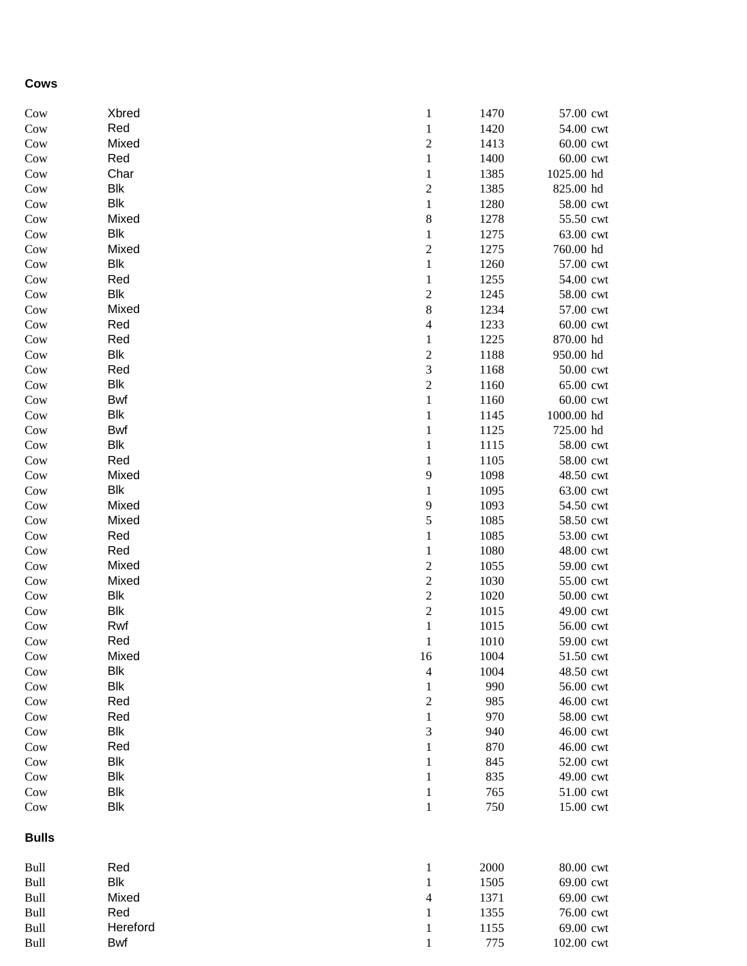## **Cows**

| Cow          | Xbred                    | $\mathbf{1}$              | 1470         | 57.00 cwt              |
|--------------|--------------------------|---------------------------|--------------|------------------------|
| Cow          | Red                      | $\mathbf{1}$              | 1420         | 54.00 cwt              |
| Cow          | Mixed                    | $\overline{\mathbf{c}}$   | 1413         | 60.00 cwt              |
| Cow          | Red                      | $\,1\,$                   | 1400         | 60.00 cwt              |
| Cow          | Char                     | $\mathbf 1$               | 1385         | 1025.00 hd             |
| Cow          | <b>Blk</b><br><b>Blk</b> | $\overline{c}$<br>$\,1\,$ | 1385         | 825.00 hd              |
| Cow          | Mixed                    | $\,$ $\,$                 | 1280<br>1278 | 58.00 cwt<br>55.50 cwt |
| Cow<br>Cow   | <b>Blk</b>               | $\mathbf 1$               | 1275         | 63.00 cwt              |
| Cow          | Mixed                    | $\overline{c}$            | 1275         | 760.00 hd              |
| Cow          | <b>Blk</b>               | $\,1\,$                   | 1260         | 57.00 cwt              |
| Cow          | Red                      | $\mathbf{1}$              | 1255         | 54.00 cwt              |
| Cow          | <b>Blk</b>               | $\sqrt{2}$                | 1245         | 58.00 cwt              |
| Cow          | Mixed                    | $\,$ $\,$                 | 1234         | 57.00 cwt              |
| Cow          | Red                      | $\overline{\mathcal{L}}$  | 1233         | 60.00 cwt              |
| Cow          | Red                      | $\mathbf{1}$              | 1225         | 870.00 hd              |
| Cow          | <b>Blk</b>               | $\overline{c}$            | 1188         | 950.00 hd              |
| Cow          | Red                      | 3                         | 1168         | 50.00 cwt              |
| Cow          | <b>Blk</b>               | $\overline{\mathbf{c}}$   | 1160         | 65.00 cwt              |
| Cow          | <b>Bwf</b>               | $\,1\,$                   | 1160         | 60.00 cwt              |
| Cow          | <b>Blk</b>               | $\mathbf 1$               | 1145         | 1000.00 hd             |
| Cow          | <b>Bwf</b>               | $\mathbf 1$               | 1125         | 725.00 hd              |
| Cow          | <b>Blk</b>               | $\mathbf 1$               | 1115         | 58.00 cwt              |
| Cow          | Red                      | $\mathbf 1$               | 1105         | 58.00 cwt              |
| Cow          | Mixed                    | 9                         | 1098         | 48.50 cwt              |
| Cow          | <b>Blk</b>               | $\mathbf{1}$              | 1095         | 63.00 cwt              |
| Cow          | Mixed                    | 9                         | 1093         | 54.50 cwt              |
| Cow          | Mixed                    | 5                         | 1085         | 58.50 cwt              |
| Cow          | Red                      | $\mathbf 1$               | 1085         | 53.00 cwt              |
| Cow          | Red                      | $\mathbf{1}$              | 1080         | 48.00 cwt              |
| Cow          | Mixed                    | $\overline{c}$            | 1055         | 59.00 cwt              |
| Cow          | Mixed                    | $\overline{\mathbf{c}}$   | 1030         | 55.00 cwt              |
| Cow          | <b>Blk</b>               | $\overline{c}$            | 1020         | 50.00 cwt              |
| Cow          | <b>Blk</b>               | $\overline{\mathbf{c}}$   | 1015         | 49.00 cwt              |
| Cow          | Rwf                      | $\mathbf{1}$              | 1015         | 56.00 cwt              |
| Cow          | Red                      | $\mathbf{1}$              | 1010         | 59.00 cwt              |
| Cow          | Mixed                    | 16                        | 1004         | 51.50 cwt              |
| Cow          | <b>Blk</b>               | $\overline{\mathcal{L}}$  | 1004         | 48.50 cwt              |
| Cow          | <b>Blk</b>               | 1                         | 990          | 56.00 cwt              |
| Cow          | Red                      | $\overline{c}$            | 985          | 46.00 cwt              |
| Cow          | Red                      | 1                         | 970          | 58.00 cwt              |
| Cow          | <b>Blk</b>               | 3                         | 940          | 46.00 cwt              |
| Cow          | Red                      | 1                         | 870          | 46.00 cwt              |
| Cow          | <b>Blk</b>               | 1                         | 845          | 52.00 cwt              |
| Cow          | Blk                      | 1                         | 835          | 49.00 cwt              |
| Cow          | Blk                      | $\mathbf{1}$              | 765          | 51.00 cwt              |
| Cow          | Blk                      | $\mathbf{1}$              | 750          | 15.00 cwt              |
| <b>Bulls</b> |                          |                           |              |                        |
|              | n.                       |                           |              | 0000                   |

| Bull | Red             |   | 2000 | 80.00 cwt  |
|------|-----------------|---|------|------------|
| Bull | Blk             |   | 1505 | 69.00 cwt  |
| Bull | Mixed           | 4 | 1371 | 69.00 cwt  |
| Bull | Red             |   | 1355 | 76.00 cwt  |
| Bull | <b>Hereford</b> |   | 1155 | 69.00 cwt  |
| Bull | <b>Bwf</b>      |   | 775  | 102.00 cwt |